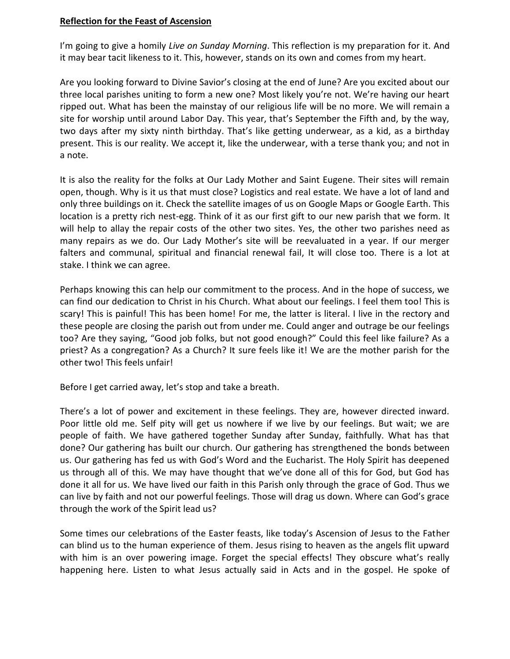### **Reflection for the Feast of Ascension**

I'm going to give a homily *Live on Sunday Morning*. This reflection is my preparation for it. And it may bear tacit likeness to it. This, however, stands on its own and comes from my heart.

Are you looking forward to Divine Savior's closing at the end of June? Are you excited about our three local parishes uniting to form a new one? Most likely you're not. We're having our heart ripped out. What has been the mainstay of our religious life will be no more. We will remain a site for worship until around Labor Day. This year, that's September the Fifth and, by the way, two days after my sixty ninth birthday. That's like getting underwear, as a kid, as a birthday present. This is our reality. We accept it, like the underwear, with a terse thank you; and not in a note.

It is also the reality for the folks at Our Lady Mother and Saint Eugene. Their sites will remain open, though. Why is it us that must close? Logistics and real estate. We have a lot of land and only three buildings on it. Check the satellite images of us on Google Maps or Google Earth. This location is a pretty rich nest-egg. Think of it as our first gift to our new parish that we form. It will help to allay the repair costs of the other two sites. Yes, the other two parishes need as many repairs as we do. Our Lady Mother's site will be reevaluated in a year. If our merger falters and communal, spiritual and financial renewal fail, It will close too. There is a lot at stake. I think we can agree.

Perhaps knowing this can help our commitment to the process. And in the hope of success, we can find our dedication to Christ in his Church. What about our feelings. I feel them too! This is scary! This is painful! This has been home! For me, the latter is literal. I live in the rectory and these people are closing the parish out from under me. Could anger and outrage be our feelings too? Are they saying, "Good job folks, but not good enough?" Could this feel like failure? As a priest? As a congregation? As a Church? It sure feels like it! We are the mother parish for the other two! This feels unfair!

Before I get carried away, let's stop and take a breath.

There's a lot of power and excitement in these feelings. They are, however directed inward. Poor little old me. Self pity will get us nowhere if we live by our feelings. But wait; we are people of faith. We have gathered together Sunday after Sunday, faithfully. What has that done? Our gathering has built our church. Our gathering has strengthened the bonds between us. Our gathering has fed us with God's Word and the Eucharist. The Holy Spirit has deepened us through all of this. We may have thought that we've done all of this for God, but God has done it all for us. We have lived our faith in this Parish only through the grace of God. Thus we can live by faith and not our powerful feelings. Those will drag us down. Where can God's grace through the work of the Spirit lead us?

Some times our celebrations of the Easter feasts, like today's Ascension of Jesus to the Father can blind us to the human experience of them. Jesus rising to heaven as the angels flit upward with him is an over powering image. Forget the special effects! They obscure what's really happening here. Listen to what Jesus actually said in Acts and in the gospel. He spoke of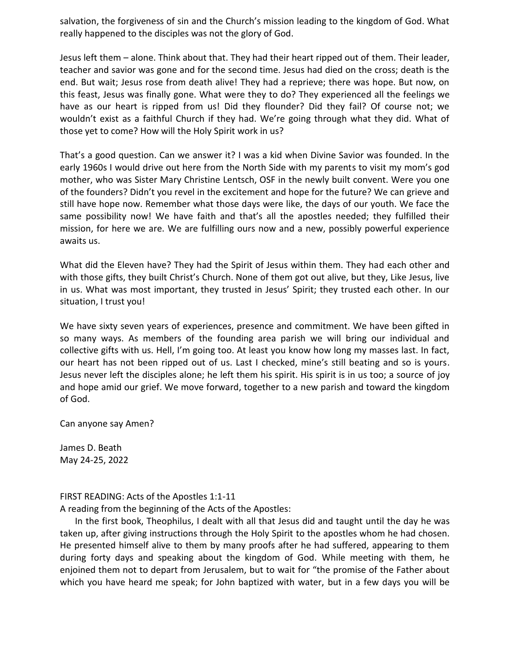salvation, the forgiveness of sin and the Church's mission leading to the kingdom of God. What really happened to the disciples was not the glory of God.

Jesus left them – alone. Think about that. They had their heart ripped out of them. Their leader, teacher and savior was gone and for the second time. Jesus had died on the cross; death is the end. But wait; Jesus rose from death alive! They had a reprieve; there was hope. But now, on this feast, Jesus was finally gone. What were they to do? They experienced all the feelings we have as our heart is ripped from us! Did they flounder? Did they fail? Of course not; we wouldn't exist as a faithful Church if they had. We're going through what they did. What of those yet to come? How will the Holy Spirit work in us?

That's a good question. Can we answer it? I was a kid when Divine Savior was founded. In the early 1960s I would drive out here from the North Side with my parents to visit my mom's god mother, who was Sister Mary Christine Lentsch, OSF in the newly built convent. Were you one of the founders? Didn't you revel in the excitement and hope for the future? We can grieve and still have hope now. Remember what those days were like, the days of our youth. We face the same possibility now! We have faith and that's all the apostles needed; they fulfilled their mission, for here we are. We are fulfilling ours now and a new, possibly powerful experience awaits us.

What did the Eleven have? They had the Spirit of Jesus within them. They had each other and with those gifts, they built Christ's Church. None of them got out alive, but they, Like Jesus, live in us. What was most important, they trusted in Jesus' Spirit; they trusted each other. In our situation, I trust you!

We have sixty seven years of experiences, presence and commitment. We have been gifted in so many ways. As members of the founding area parish we will bring our individual and collective gifts with us. Hell, I'm going too. At least you know how long my masses last. In fact, our heart has not been ripped out of us. Last I checked, mine's still beating and so is yours. Jesus never left the disciples alone; he left them his spirit. His spirit is in us too; a source of joy and hope amid our grief. We move forward, together to a new parish and toward the kingdom of God.

Can anyone say Amen?

James D. Beath May 24-25, 2022

### FIRST READING: Acts of the Apostles 1:1-11

A reading from the beginning of the Acts of the Apostles:

In the first book, Theophilus, I dealt with all that Jesus did and taught until the day he was taken up, after giving instructions through the Holy Spirit to the apostles whom he had chosen. He presented himself alive to them by many proofs after he had suffered, appearing to them during forty days and speaking about the kingdom of God. While meeting with them, he enjoined them not to depart from Jerusalem, but to wait for "the promise of the Father about which you have heard me speak; for John baptized with water, but in a few days you will be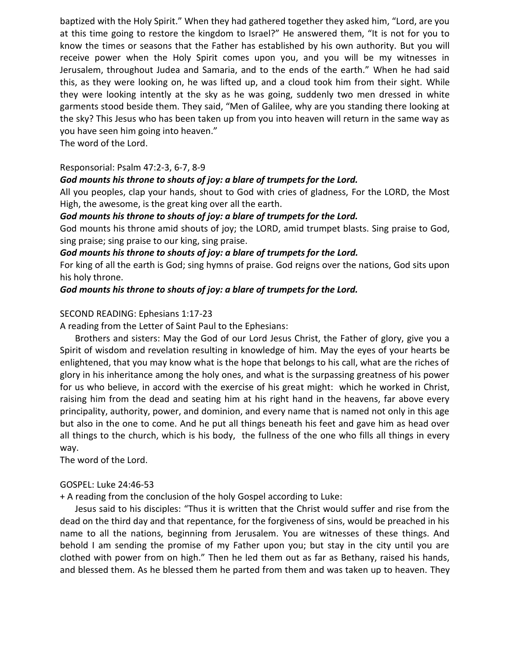baptized with the Holy Spirit." When they had gathered together they asked him, "Lord, are you at this time going to restore the kingdom to Israel?" He answered them, "It is not for you to know the times or seasons that the Father has established by his own authority. But you will receive power when the Holy Spirit comes upon you, and you will be my witnesses in Jerusalem, throughout Judea and Samaria, and to the ends of the earth." When he had said this, as they were looking on, he was lifted up, and a cloud took him from their sight. While they were looking intently at the sky as he was going, suddenly two men dressed in white garments stood beside them. They said, "Men of Galilee, why are you standing there looking at the sky? This Jesus who has been taken up from you into heaven will return in the same way as you have seen him going into heaven."

The word of the Lord.

# Responsorial: Psalm 47:2-3, 6-7, 8-9

# *God mounts his throne to shouts of joy: a blare of trumpets for the Lord.*

All you peoples, clap your hands, shout to God with cries of gladness, For the LORD, the Most High, the awesome, is the great king over all the earth.

# *God mounts his throne to shouts of joy: a blare of trumpets for the Lord.*

God mounts his throne amid shouts of joy; the LORD, amid trumpet blasts. Sing praise to God, sing praise; sing praise to our king, sing praise.

# *God mounts his throne to shouts of joy: a blare of trumpets for the Lord.*

For king of all the earth is God; sing hymns of praise. God reigns over the nations, God sits upon his holy throne.

# *God mounts his throne to shouts of joy: a blare of trumpets for the Lord.*

# SECOND READING: Ephesians 1:17-23

A reading from the Letter of Saint Paul to the Ephesians:

Brothers and sisters: May the God of our Lord Jesus Christ, the Father of glory, give you a Spirit of wisdom and revelation resulting in knowledge of him. May the eyes of your hearts be enlightened, that you may know what is the hope that belongs to his call, what are the riches of glory in his inheritance among the holy ones, and what is the surpassing greatness of his power for us who believe, in accord with the exercise of his great might: which he worked in Christ, raising him from the dead and seating him at his right hand in the heavens, far above every principality, authority, power, and dominion, and every name that is named not only in this age but also in the one to come. And he put all things beneath his feet and gave him as head over all things to the church, which is his body, the fullness of the one who fills all things in every way.

The word of the Lord.

### GOSPEL: Luke 24:46-53

+ A reading from the conclusion of the holy Gospel according to Luke:

Jesus said to his disciples: "Thus it is written that the Christ would suffer and rise from the dead on the third day and that repentance, for the forgiveness of sins, would be preached in his name to all the nations, beginning from Jerusalem. You are witnesses of these things. And behold I am sending the promise of my Father upon you; but stay in the city until you are clothed with power from on high." Then he led them out as far as Bethany, raised his hands, and blessed them. As he blessed them he parted from them and was taken up to heaven. They